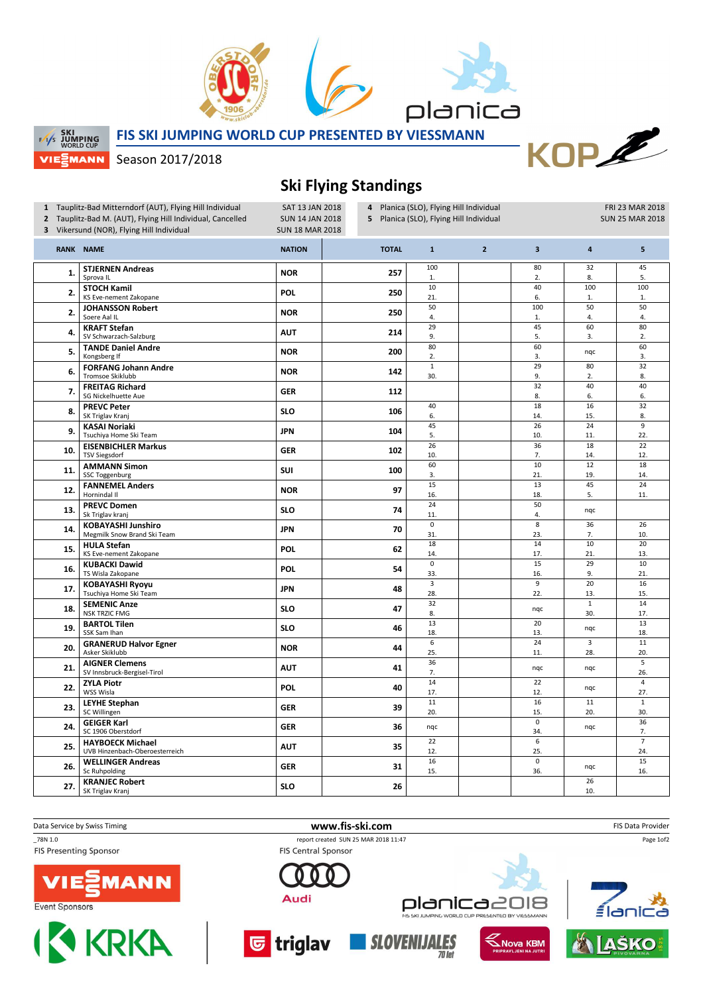



 $PL$ 

**SKI SKI WORLD CUP** VIEZMANN FIS SKI JUMPING WORLD CUP PRESENTED BY VIESSMANN

Season 2017/2018

## Ski Flying Standings

| 1 Tauplitz-Bad Mitterndorf (AUT), Flying Hill Individual<br>SAT 13 JAN 2018<br>2 Tauplitz-Bad M. (AUT), Flying Hill Individual, Cancelled<br><b>SUN 14 JAN 2018</b><br>3 Vikersund (NOR), Flying Hill Individual<br><b>SUN 18 MAR 2018</b> |                                                           |               | 4 Planica (SLO), Flying Hill Individual<br>5 Planica (SLO), Flying Hill Individual |                        |                |                         |                         | FRI 23 MAR 2018<br><b>SUN 25 MAR 2018</b> |  |
|--------------------------------------------------------------------------------------------------------------------------------------------------------------------------------------------------------------------------------------------|-----------------------------------------------------------|---------------|------------------------------------------------------------------------------------|------------------------|----------------|-------------------------|-------------------------|-------------------------------------------|--|
|                                                                                                                                                                                                                                            | RANK NAME                                                 | <b>NATION</b> | <b>TOTAL</b>                                                                       | $\mathbf{1}$           | $\overline{2}$ | $\overline{\mathbf{3}}$ | $\overline{\mathbf{4}}$ | 5                                         |  |
| 1.                                                                                                                                                                                                                                         | <b>STJERNEN Andreas</b><br>Sprova <sub>IL</sub>           | <b>NOR</b>    | 257                                                                                | 100<br>1.              |                | 80<br>2.                | 32<br>8.                | 45<br>5.                                  |  |
| 2.                                                                                                                                                                                                                                         | <b>STOCH Kamil</b><br>KS Eve-nement Zakopane              | <b>POL</b>    | 250                                                                                | 10<br>21.              |                | 40<br>6.                | 100<br>1.               | 100<br>1.                                 |  |
| 2.                                                                                                                                                                                                                                         | <b>JOHANSSON Robert</b><br>Soere Aal IL                   | <b>NOR</b>    | 250                                                                                | 50<br>4.               |                | 100<br>1.               | 50<br>4.                | 50<br>4.                                  |  |
| 4.                                                                                                                                                                                                                                         | <b>KRAFT Stefan</b><br>SV Schwarzach-Salzburg             | <b>AUT</b>    | 214                                                                                | 29<br>9.               |                | 45<br>5.                | 60<br>3.                | 80<br>2.                                  |  |
| 5.                                                                                                                                                                                                                                         | <b>TANDE Daniel Andre</b><br>Kongsberg If                 | <b>NOR</b>    | 200                                                                                | 80<br>2.               |                | 60<br>3.                | nqc                     | 60<br>3.                                  |  |
| 6.                                                                                                                                                                                                                                         | <b>FORFANG Johann Andre</b><br><b>Tromsoe Skiklubb</b>    | <b>NOR</b>    | 142                                                                                | $\mathbf 1$<br>30.     |                | 29<br>9.                | 80<br>2.                | 32<br>8.                                  |  |
| 7.                                                                                                                                                                                                                                         | <b>FREITAG Richard</b><br>SG Nickelhuette Aue             | <b>GER</b>    | 112                                                                                |                        |                | $\overline{32}$<br>8.   | 40<br>6.                | 40<br>6.                                  |  |
| 8.                                                                                                                                                                                                                                         | <b>PREVC Peter</b><br>SK Triglav Kranj                    | <b>SLO</b>    | 106                                                                                | 40<br>6.               |                | 18<br>14.               | 16<br>15.               | 32<br>8.                                  |  |
| 9.                                                                                                                                                                                                                                         | <b>KASAI Noriaki</b><br>Tsuchiya Home Ski Team            | <b>JPN</b>    | 104                                                                                | 45<br>5.               |                | 26<br>10.               | 24<br>11.               | $\overline{9}$<br>22.                     |  |
| 10.                                                                                                                                                                                                                                        | <b>EISENBICHLER Markus</b><br><b>TSV Siegsdorf</b>        | <b>GER</b>    | 102                                                                                | 26<br>10.              |                | 36<br>7.                | $\overline{18}$<br>14.  | $\overline{22}$<br>12.                    |  |
| 11.                                                                                                                                                                                                                                        | <b>AMMANN Simon</b><br>SSC Toggenburg                     | SUI           | 100                                                                                | 60<br>3.               |                | 10<br>21.               | $12\,$<br>19.           | 18<br>14.                                 |  |
| 12.                                                                                                                                                                                                                                        | <b>FANNEMEL Anders</b><br>Hornindal II                    | <b>NOR</b>    | 97                                                                                 | 15<br>16.              |                | 13<br>18.               | 45<br>5.                | 24<br>11.                                 |  |
| 13.                                                                                                                                                                                                                                        | <b>PREVC Domen</b><br>Sk Triglav kranj                    | <b>SLO</b>    | 74                                                                                 | 24<br>11.              |                | 50<br>4.                | nqc                     |                                           |  |
| 14.                                                                                                                                                                                                                                        | <b>KOBAYASHI Junshiro</b><br>Megmilk Snow Brand Ski Team  | <b>JPN</b>    | 70                                                                                 | 0<br>31.               |                | 8<br>23.                | 36<br>7.                | 26<br>10.                                 |  |
| 15.                                                                                                                                                                                                                                        | <b>HULA Stefan</b><br>KS Eve-nement Zakopane              | <b>POL</b>    | 62                                                                                 | 18<br>14.              |                | 14<br>17.               | $10\,$<br>21.           | 20<br>13.                                 |  |
| 16.                                                                                                                                                                                                                                        | <b>KUBACKI Dawid</b><br>TS Wisla Zakopane                 | <b>POL</b>    | 54                                                                                 | $\mathbf 0$<br>33.     |                | 15<br>16.               | 29<br>9.                | 10<br>21.                                 |  |
| 17.                                                                                                                                                                                                                                        | <b>KOBAYASHI Ryoyu</b><br>Tsuchiya Home Ski Team          | <b>JPN</b>    | 48                                                                                 | $\overline{3}$<br>28.  |                | 9<br>22.                | 20<br>13.               | 16<br>15.                                 |  |
| 18.                                                                                                                                                                                                                                        | <b>SEMENIC Anze</b><br><b>NSK TRZIC FMG</b>               | <b>SLO</b>    | 47                                                                                 | 32<br>8.               |                | nqc                     | $\mathbf{1}$<br>30.     | 14<br>17.                                 |  |
| 19.                                                                                                                                                                                                                                        | <b>BARTOL Tilen</b><br>SSK Sam Ihan                       | <b>SLO</b>    | 46                                                                                 | 13<br>18.              |                | 20<br>13.               | nqc                     | 13<br>18.                                 |  |
| 20.                                                                                                                                                                                                                                        | <b>GRANERUD Halvor Egner</b><br>Asker Skiklubb            | <b>NOR</b>    | 44                                                                                 | 6<br>25.               |                | 24<br>11.               | $\overline{3}$<br>28.   | 11<br>20.                                 |  |
| 21.                                                                                                                                                                                                                                        | <b>AIGNER Clemens</b><br>SV Innsbruck-Bergisel-Tirol      | <b>AUT</b>    | 41                                                                                 | 36<br>7.               |                | ngc                     | nqc                     | $\overline{5}$<br>26.                     |  |
| 22.                                                                                                                                                                                                                                        | <b>ZYLA Piotr</b><br>WSS Wisla                            | <b>POL</b>    | 40                                                                                 | 14<br>17.              |                | 22<br>12.               | nqc                     | $\overline{4}$<br>27.                     |  |
| 23.                                                                                                                                                                                                                                        | <b>LEYHE Stephan</b><br>SC Willingen                      | <b>GER</b>    | 39                                                                                 | 11<br>20.              |                | 16<br>15.               | 11<br>20.               | $\mathbf 1$<br>30.                        |  |
| 24.                                                                                                                                                                                                                                        | <b>GEIGER Karl</b><br>SC 1906 Oberstdorf                  | <b>GER</b>    | 36                                                                                 | nqc                    |                | 0<br>34.                | nqc                     | 36<br>7.                                  |  |
| 25.                                                                                                                                                                                                                                        | <b>HAYBOECK Michael</b><br>UVB Hinzenbach-Oberoesterreich | <b>AUT</b>    | 35                                                                                 | $\overline{22}$<br>12. |                | 6<br>25.                |                         | $\overline{7}$<br>24.                     |  |
| 26.                                                                                                                                                                                                                                        | <b>WELLINGER Andreas</b><br>Sc Ruhpolding                 | <b>GER</b>    | 31                                                                                 | 16<br>15.              |                | 0<br>36.                | nqc                     | 15<br>16.                                 |  |
| 27.                                                                                                                                                                                                                                        | <b>KRANJEC Robert</b><br>SK Triglav Kranj                 | <b>SLO</b>    | 26                                                                                 |                        |                |                         | 26<br>10.               |                                           |  |